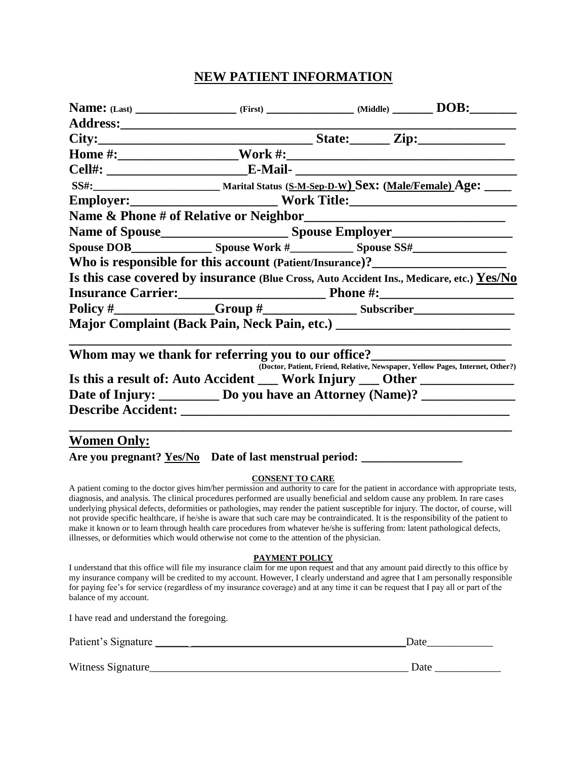## **NEW PATIENT INFORMATION**

| Who is responsible for this account (Patient/Insurance)?_________________________         |  |                                                                                |
|-------------------------------------------------------------------------------------------|--|--------------------------------------------------------------------------------|
| Is this case covered by insurance (Blue Cross, Auto Accident Ins., Medicare, etc.) Yes/No |  |                                                                                |
|                                                                                           |  |                                                                                |
|                                                                                           |  |                                                                                |
| Major Complaint (Back Pain, Neck Pain, etc.) ___________________________________          |  |                                                                                |
| Whom may we thank for referring you to our office?                                        |  | (Doctor, Patient, Friend, Relative, Newspaper, Yellow Pages, Internet, Other?) |
| Is this a result of: Auto Accident __ Work Injury __ Other _____________                  |  |                                                                                |
| Date of Injury: ___________ Do you have an Attorney (Name)? ____________________          |  |                                                                                |
|                                                                                           |  |                                                                                |
| <b>Women Only:</b>                                                                        |  |                                                                                |
|                                                                                           |  |                                                                                |

### **CONSENT TO CARE**

A patient coming to the doctor gives him/her permission and authority to care for the patient in accordance with appropriate tests, diagnosis, and analysis. The clinical procedures performed are usually beneficial and seldom cause any problem. In rare cases underlying physical defects, deformities or pathologies, may render the patient susceptible for injury. The doctor, of course, will not provide specific healthcare, if he/she is aware that such care may be contraindicated. It is the responsibility of the patient to make it known or to learn through health care procedures from whatever he/she is suffering from: latent pathological defects, illnesses, or deformities which would otherwise not come to the attention of the physician.

#### **PAYMENT POLICY**

I understand that this office will file my insurance claim for me upon request and that any amount paid directly to this office by my insurance company will be credited to my account. However, I clearly understand and agree that I am personally responsible for paying fee's for service (regardless of my insurance coverage) and at any time it can be request that I pay all or part of the balance of my account.

I have read and understand the foregoing.

| Patient's Signature | Date |
|---------------------|------|
|                     |      |
| Witness Signature_  | Date |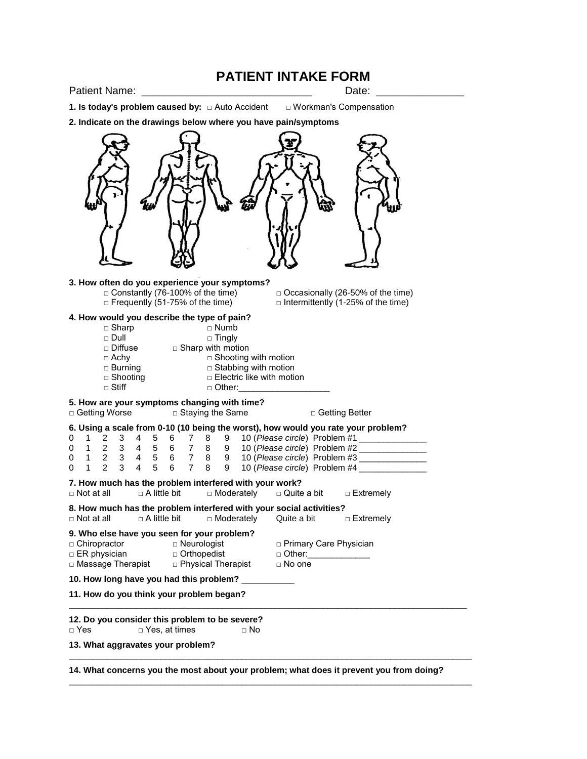# **PATIENT INTAKE FORM**

Patient Name: **Example 20** and the patient  $\blacksquare$ 

**1. Is today's problem caused by:** □ Auto Accident □ Workman's Compensation

**2. Indicate on the drawings below where you have pain/symptoms**



**3. How often do you experience your symptoms?** □ Constantly (76-100% of the time)  $□$   $□$  Occasionally (26-50% of the time)  $□$  Frequently (51-75% of the time)  $\Box$  Intermittently (1-25% of the time) **4. How would you describe the type of pain?** □ Sharp<br>□ Dull □ Dull □ Tingly<br>□ Diffuse □ Sharp with moti □ Diffuse □ Sharp with motion<br>□ Achy □ Shooting □ Shooting with motion □ Burning □ Stabbing with motion □ Shooting □ Electric like with motion

 $\Box$  Stiff  $\Box$   $\Box$  Other:

#### **5. How are your symptoms changing with time?**

□ Getting Worse □ Staying the Same □ Getting Better

|  |  |  |  |  | 6. Using a scale from 0-10 (10 being the worst), how would you rate your problem? |
|--|--|--|--|--|-----------------------------------------------------------------------------------|
|  |  |  |  |  | 0 1 2 3 4 5 6 7 8 9 10 (Please circle) Problem #1                                 |
|  |  |  |  |  | 0 1 2 3 4 5 6 7 8 9 10 (Please circle) Problem #2                                 |

|  |  |  |  |  | 0 1 2 3 4 5 6 7 8 9 10 (Please circle) Problem #3<br>0 1 2 3 4 5 6 7 8 9 10 (Please circle) Problem #4                               |             |
|--|--|--|--|--|--------------------------------------------------------------------------------------------------------------------------------------|-------------|
|  |  |  |  |  | 7. How much has the problem interfered with your work?<br>$\Box$ Not at all $\Box$ A little bit $\Box$ Moderately $\Box$ Quite a bit | □ Extremely |

**8. How much has the problem interfered with your social activities?**

□ Not at all □ A little bit □ Moderately Quite a bit □ Extremely

**9. Who else have you seen for your problem?** □ Chiropractor □ Neurologist □ Primary Care Physician

□ ER physician □ Orthopedist □ Other:

□ Massage Therapist □ Physical Therapist □ No one

**10. How long have you had this problem?** \_\_\_\_\_\_\_\_\_\_\_

**11. How do you think your problem began?**

**12. Do you consider this problem to be severe?**

□ Yes, at times □ No

**13. What aggravates your problem?**

**14. What concerns you the most about your problem; what does it prevent you from doing?**

\_\_\_\_\_\_\_\_\_\_\_\_\_\_\_\_\_\_\_\_\_\_\_\_\_\_\_\_\_\_\_\_\_\_\_\_\_\_\_\_\_\_\_\_\_\_\_\_\_\_\_\_\_\_\_\_\_\_\_\_\_\_\_\_\_\_\_\_\_\_\_\_\_\_\_\_\_\_\_\_\_\_\_

 $\overline{\phantom{a}}$  ,  $\overline{\phantom{a}}$  ,  $\overline{\phantom{a}}$  ,  $\overline{\phantom{a}}$  ,  $\overline{\phantom{a}}$  ,  $\overline{\phantom{a}}$  ,  $\overline{\phantom{a}}$  ,  $\overline{\phantom{a}}$  ,  $\overline{\phantom{a}}$  ,  $\overline{\phantom{a}}$  ,  $\overline{\phantom{a}}$  ,  $\overline{\phantom{a}}$  ,  $\overline{\phantom{a}}$  ,  $\overline{\phantom{a}}$  ,  $\overline{\phantom{a}}$  ,  $\overline{\phantom{a}}$ 

\_\_\_\_\_\_\_\_\_\_\_\_\_\_\_\_\_\_\_\_\_\_\_\_\_\_\_\_\_\_\_\_\_\_\_\_\_\_\_\_\_\_\_\_\_\_\_\_\_\_\_\_\_\_\_\_\_\_\_\_\_\_\_\_\_\_\_\_\_\_\_\_\_\_\_\_\_\_\_\_\_\_\_\_